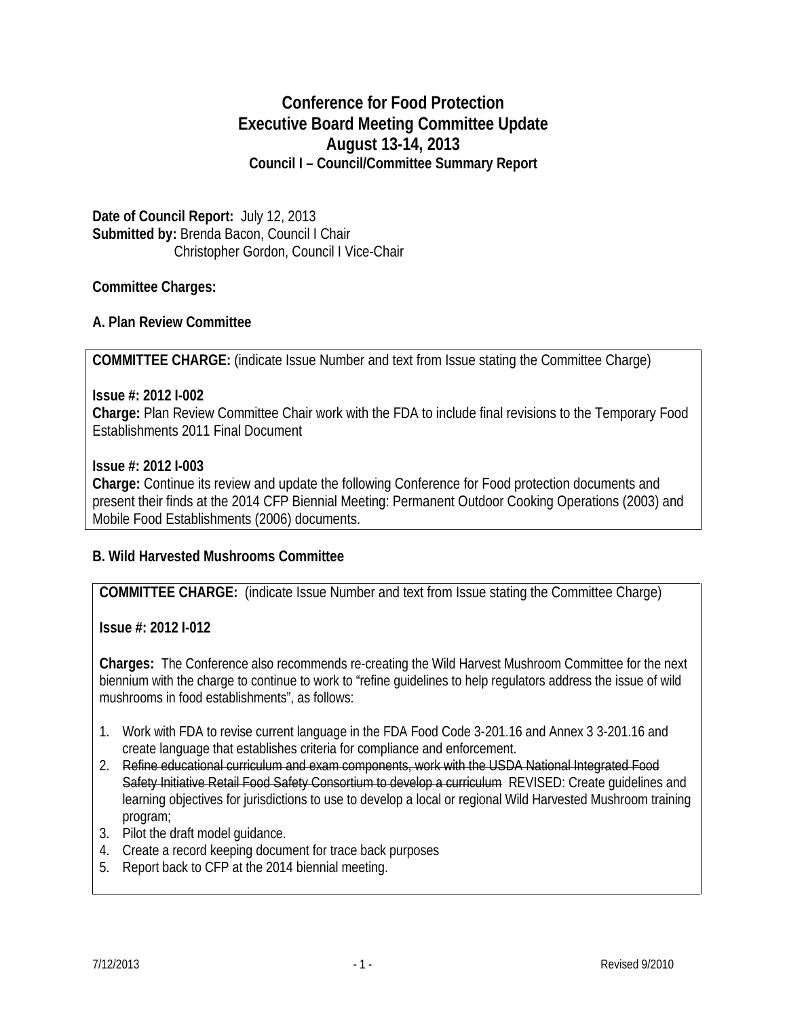# **Conference for Food Protection Executive Board Meeting Committee Update August 13-14, 2013 Council I – Council/Committee Summary Report**

**Date of Council Report:** July 12, 2013 **Submitted by:** Brenda Bacon, Council I Chair Christopher Gordon, Council I Vice-Chair

## **Committee Charges:**

## **A. Plan Review Committee**

**COMMITTEE CHARGE:** (indicate Issue Number and text from Issue stating the Committee Charge)

### **Issue #: 2012 I-002**

**Charge:** Plan Review Committee Chair work with the FDA to include final revisions to the Temporary Food Establishments 2011 Final Document

### **Issue #: 2012 I-003**

**Charge:** Continue its review and update the following Conference for Food protection documents and present their finds at the 2014 CFP Biennial Meeting: Permanent Outdoor Cooking Operations (2003) and Mobile Food Establishments (2006) documents.

## **B. Wild Harvested Mushrooms Committee**

**COMMITTEE CHARGE:** (indicate Issue Number and text from Issue stating the Committee Charge)

**Issue #: 2012 I-012**

**Charges:** The Conference also recommends re-creating the Wild Harvest Mushroom Committee for the next biennium with the charge to continue to work to "refine guidelines to help regulators address the issue of wild mushrooms in food establishments", as follows:

- 1. Work with FDA to revise current language in the FDA Food Code 3-201.16 and Annex 3 3-201.16 and create language that establishes criteria for compliance and enforcement.
- 2. Refine educational curriculum and exam components, work with the USDA National Integrated Food Safety Initiative Retail Food Safety Consortium to develop a curriculum REVISED: Create quidelines and learning objectives for jurisdictions to use to develop a local or regional Wild Harvested Mushroom training program;
- 3. Pilot the draft model guidance.
- 4. Create a record keeping document for trace back purposes
- 5. Report back to CFP at the 2014 biennial meeting.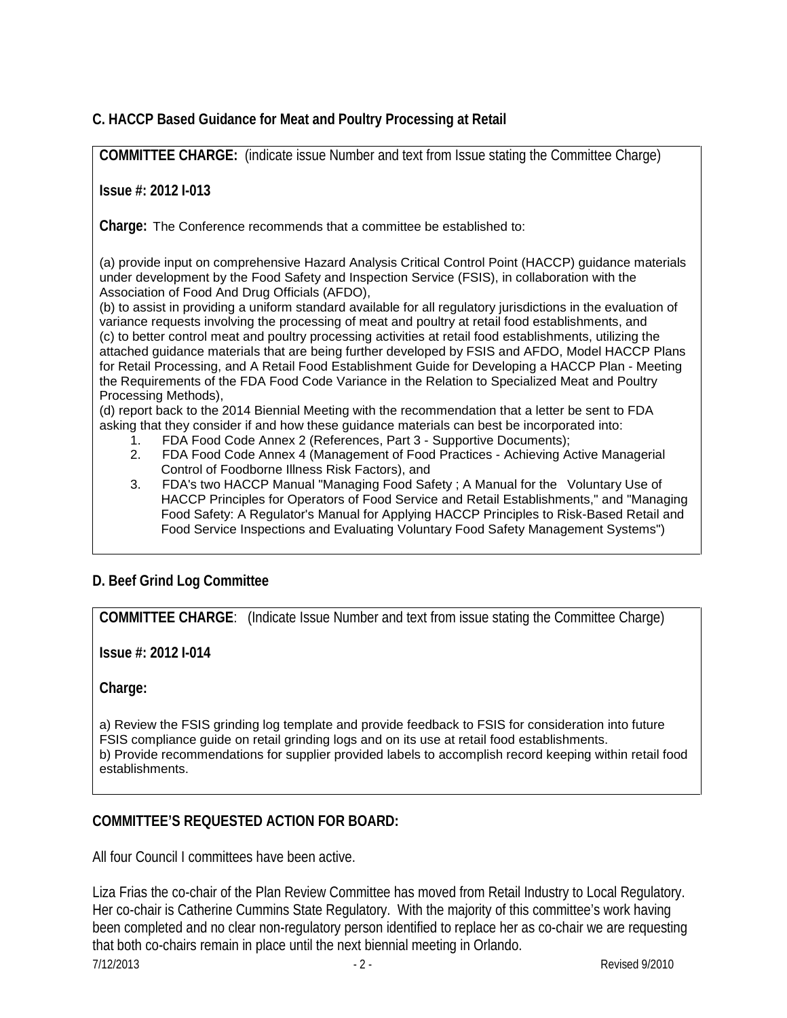# **C. HACCP Based Guidance for Meat and Poultry Processing at Retail**

**COMMITTEE CHARGE:** (indicate issue Number and text from Issue stating the Committee Charge)

### **Issue #: 2012 I-013**

**Charge:** The Conference recommends that a committee be established to:

(a) provide input on comprehensive Hazard Analysis Critical Control Point (HACCP) guidance materials under development by the Food Safety and Inspection Service (FSIS), in collaboration with the Association of Food And Drug Officials (AFDO),

(b) to assist in providing a uniform standard available for all regulatory jurisdictions in the evaluation of variance requests involving the processing of meat and poultry at retail food establishments, and (c) to better control meat and poultry processing activities at retail food establishments, utilizing the attached guidance materials that are being further developed by FSIS and AFDO, Model HACCP Plans for Retail Processing, and A Retail Food Establishment Guide for Developing a HACCP Plan - Meeting the Requirements of the FDA Food Code Variance in the Relation to Specialized Meat and Poultry Processing Methods),

(d) report back to the 2014 Biennial Meeting with the recommendation that a letter be sent to FDA asking that they consider if and how these guidance materials can best be incorporated into:

- 1. FDA Food Code Annex 2 (References, Part 3 Supportive Documents);
- 2. FDA Food Code Annex 4 (Management of Food Practices Achieving Active Managerial Control of Foodborne Illness Risk Factors), and
- 3. FDA's two HACCP Manual "Managing Food Safety ; A Manual for the Voluntary Use of HACCP Principles for Operators of Food Service and Retail Establishments," and "Managing Food Safety: A Regulator's Manual for Applying HACCP Principles to Risk-Based Retail and Food Service Inspections and Evaluating Voluntary Food Safety Management Systems")

## **D. Beef Grind Log Committee**

**COMMITTEE CHARGE**: (Indicate Issue Number and text from issue stating the Committee Charge)

**Issue #: 2012 I-014**

**Charge:**

a) Review the FSIS grinding log template and provide feedback to FSIS for consideration into future FSIS compliance guide on retail grinding logs and on its use at retail food establishments. b) Provide recommendations for supplier provided labels to accomplish record keeping within retail food establishments.

## **COMMITTEE'S REQUESTED ACTION FOR BOARD:**

All four Council I committees have been active.

Liza Frias the co-chair of the Plan Review Committee has moved from Retail Industry to Local Regulatory. Her co-chair is Catherine Cummins State Regulatory. With the majority of this committee's work having been completed and no clear non-regulatory person identified to replace her as co-chair we are requesting that both co-chairs remain in place until the next biennial meeting in Orlando.